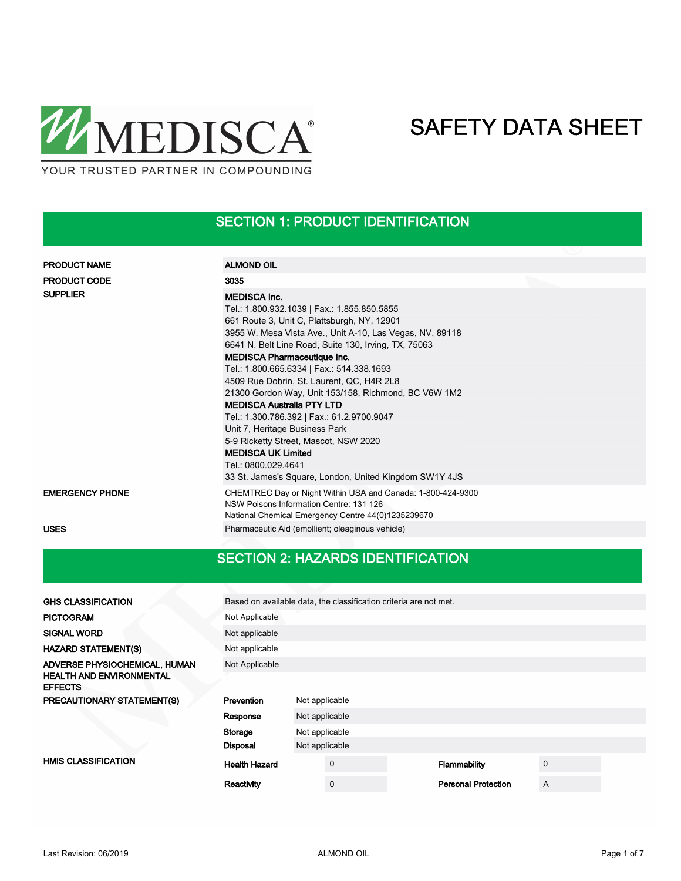

## SECTION 1: PRODUCT IDENTIFICATION

| <b>PRODUCT NAME</b>    | <b>ALMOND OIL</b>                                                                                                                                                                                                                                                                                                                                                                                                                                                                                                                                                                                                                                                                                        |
|------------------------|----------------------------------------------------------------------------------------------------------------------------------------------------------------------------------------------------------------------------------------------------------------------------------------------------------------------------------------------------------------------------------------------------------------------------------------------------------------------------------------------------------------------------------------------------------------------------------------------------------------------------------------------------------------------------------------------------------|
| <b>PRODUCT CODE</b>    | 3035                                                                                                                                                                                                                                                                                                                                                                                                                                                                                                                                                                                                                                                                                                     |
| <b>SUPPLIER</b>        | <b>MEDISCA Inc.</b><br>Tel.: 1.800.932.1039   Fax.: 1.855.850.5855<br>661 Route 3, Unit C, Plattsburgh, NY, 12901<br>3955 W. Mesa Vista Ave., Unit A-10, Las Vegas, NV, 89118<br>6641 N. Belt Line Road, Suite 130, Irving, TX, 75063<br><b>MEDISCA Pharmaceutique Inc.</b><br>Tel.: 1.800.665.6334   Fax.: 514.338.1693<br>4509 Rue Dobrin, St. Laurent, QC, H4R 2L8<br>21300 Gordon Way, Unit 153/158, Richmond, BC V6W 1M2<br><b>MEDISCA Australia PTY LTD</b><br>Tel.: 1.300.786.392   Fax.: 61.2.9700.9047<br>Unit 7, Heritage Business Park<br>5-9 Ricketty Street, Mascot, NSW 2020<br><b>MEDISCA UK Limited</b><br>Tel.: 0800.029.4641<br>33 St. James's Square, London, United Kingdom SW1Y 4JS |
| <b>EMERGENCY PHONE</b> | CHEMTREC Day or Night Within USA and Canada: 1-800-424-9300<br>NSW Poisons Information Centre: 131 126<br>National Chemical Emergency Centre 44(0)1235239670                                                                                                                                                                                                                                                                                                                                                                                                                                                                                                                                             |
| <b>USES</b>            | Pharmaceutic Aid (emollient; oleaginous vehicle)                                                                                                                                                                                                                                                                                                                                                                                                                                                                                                                                                                                                                                                         |

## SECTION 2: HAZARDS IDENTIFICATION

| <b>GHS CLASSIFICATION</b>                         | Based on available data, the classification criteria are not met.<br>Not Applicable |                |             |  |                            |             |  |
|---------------------------------------------------|-------------------------------------------------------------------------------------|----------------|-------------|--|----------------------------|-------------|--|
| <b>PICTOGRAM</b>                                  |                                                                                     |                |             |  |                            |             |  |
| <b>SIGNAL WORD</b>                                | Not applicable                                                                      |                |             |  |                            |             |  |
| <b>HAZARD STATEMENT(S)</b>                        | Not applicable                                                                      |                |             |  |                            |             |  |
| ADVERSE PHYSIOCHEMICAL, HUMAN                     | Not Applicable                                                                      |                |             |  |                            |             |  |
| <b>HEALTH AND ENVIRONMENTAL</b><br><b>EFFECTS</b> |                                                                                     |                |             |  |                            |             |  |
| PRECAUTIONARY STATEMENT(S)                        | Prevention                                                                          | Not applicable |             |  |                            |             |  |
|                                                   | Response                                                                            | Not applicable |             |  |                            |             |  |
|                                                   | Storage                                                                             | Not applicable |             |  |                            |             |  |
|                                                   | <b>Disposal</b>                                                                     | Not applicable |             |  |                            |             |  |
| <b>HMIS CLASSIFICATION</b>                        | <b>Health Hazard</b>                                                                |                | $\mathbf 0$ |  | Flammability               | $\mathbf 0$ |  |
|                                                   | Reactivity                                                                          |                | $\mathbf 0$ |  | <b>Personal Protection</b> | A           |  |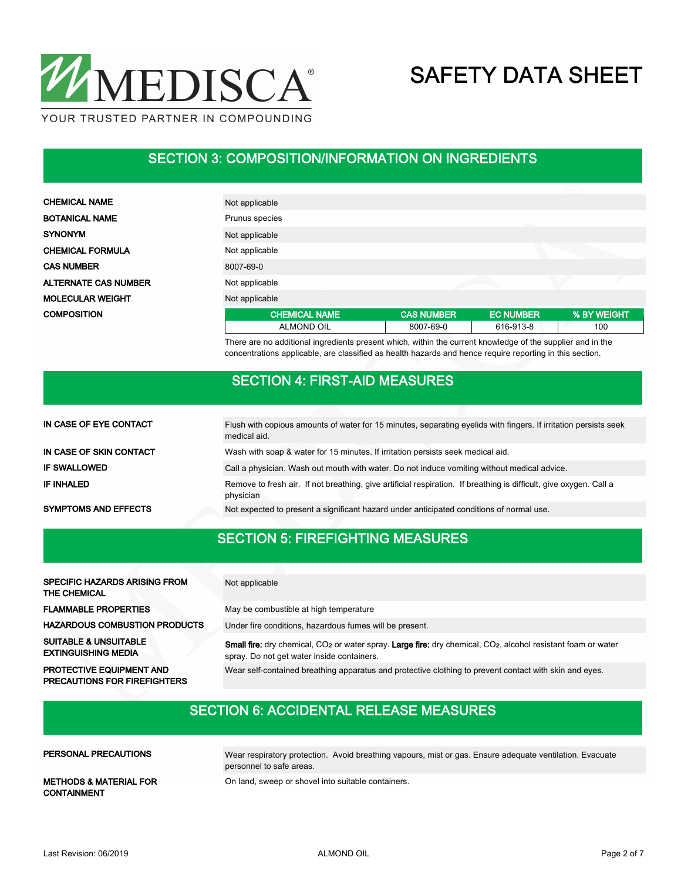

#### SECTION 3: COMPOSITION/INFORMATION ON INGREDIENTS

**CHEMICAL NAME** BOTANICAL NAME **SYNONYM** CHEMICAL FORMULA **CAS NUMBER ALTERNATE CAS NUMBER** MOLECULAR WEIGHT **COMPOSITION** 

| Not applicable       |                   |                  |             |
|----------------------|-------------------|------------------|-------------|
| Prunus species       |                   |                  |             |
| Not applicable       |                   |                  |             |
| Not applicable       |                   |                  |             |
| 8007-69-0            |                   |                  |             |
| Not applicable       |                   |                  |             |
| Not applicable       |                   |                  |             |
| <b>CHEMICAL NAME</b> | <b>CAS NUMBER</b> | <b>EC NUMBER</b> | % BY WEIGHT |
| <b>ALMOND OIL</b>    | 8007-69-0         | 616-913-8        | 100         |

There are no additional ingredients present which, within the current knowledge of the supplier and in the concentrations applicable, are classified as health hazards and hence require reporting in this section.

#### SECTION 4: FIRST-AID MEASURES

| IN CASE OF EYE CONTACT      | Flush with copious amounts of water for 15 minutes, separating eyelids with fingers. If irritation persists seek<br>medical aid. |
|-----------------------------|----------------------------------------------------------------------------------------------------------------------------------|
| IN CASE OF SKIN CONTACT     | Wash with soap & water for 15 minutes. If irritation persists seek medical aid.                                                  |
| <b>IF SWALLOWED</b>         | Call a physician. Wash out mouth with water. Do not induce vomiting without medical advice.                                      |
| <b>IF INHALED</b>           | Remove to fresh air. If not breathing, give artificial respiration. If breathing is difficult, give oxygen. Call a<br>physician  |
| <b>SYMPTOMS AND EFFECTS</b> | Not expected to present a significant hazard under anticipated conditions of normal use.                                         |

#### SECTION 5: FIREFIGHTING MEASURES

| <b>SPECIFIC HAZARDS ARISING FROM</b><br>THE CHEMICAL            | Not applicable                                                                                                                                                                                    |
|-----------------------------------------------------------------|---------------------------------------------------------------------------------------------------------------------------------------------------------------------------------------------------|
| <b>FLAMMABLE PROPERTIES</b>                                     | May be combustible at high temperature                                                                                                                                                            |
| <b>HAZARDOUS COMBUSTION PRODUCTS</b>                            | Under fire conditions, hazardous fumes will be present.                                                                                                                                           |
| <b>SUITABLE &amp; UNSUITABLE</b><br><b>EXTINGUISHING MEDIA</b>  | <b>Small fire:</b> dry chemical, CO <sub>2</sub> or water spray. <b>Large fire:</b> dry chemical, CO <sub>2</sub> , alcohol resistant foam or water<br>spray. Do not get water inside containers. |
| PROTECTIVE EQUIPMENT AND<br><b>PRECAUTIONS FOR FIREFIGHTERS</b> | Wear self-contained breathing apparatus and protective clothing to prevent contact with skin and eyes.                                                                                            |

### SECTION 6: ACCIDENTAL RELEASE MEASURES

| PERSONAL PRECAUTIONS                                    | Wear respiratory protection. Avoid breathing vapours, mist or gas. Ensure adequate ventilation. Evacuate<br>personnel to safe areas. |
|---------------------------------------------------------|--------------------------------------------------------------------------------------------------------------------------------------|
| <b>METHODS &amp; MATERIAL FOR</b><br><b>CONTAINMENT</b> | On land, sweep or shovel into suitable containers.                                                                                   |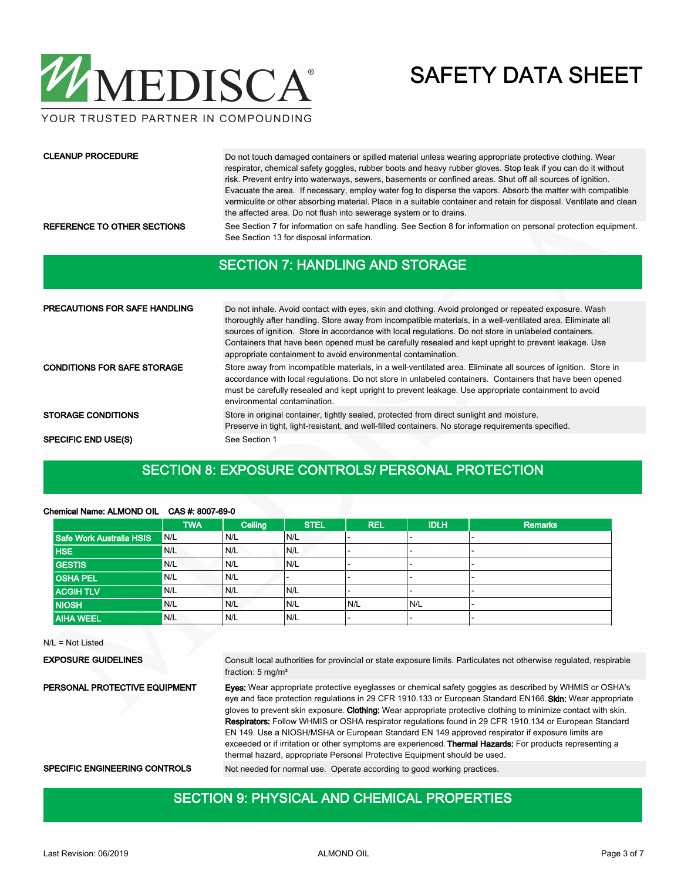

YOUR TRUSTED PARTNER IN COMPOUNDING

#### CLEANUP PROCEDURE

Do not touch damaged containers or spilled material unless wearing appropriate protective clothing. Wear respirator, chemical safety goggles, rubber boots and heavy rubber gloves. Stop leak if you can do it without risk. Prevent entry into waterways, sewers, basements or confined areas. Shut off all sources of ignition. Evacuate the area. If necessary, employ water fog to disperse the vapors. Absorb the matter with compatible vermiculite or other absorbing material. Place in a suitable container and retain for disposal. Ventilate and clean the affected area. Do not flush into sewerage system or to drains.

REFERENCE TO OTHER SECTIONS See Section 7 for information on safe handling. See Section 8 for information on personal protection equipment. See Section 13 for disposal information.

#### SECTION 7: HANDLING AND STORAGE

| <b>PRECAUTIONS FOR SAFE HANDLING</b> | Do not inhale. Avoid contact with eyes, skin and clothing. Avoid prolonged or repeated exposure. Wash<br>thoroughly after handling. Store away from incompatible materials, in a well-ventilated area. Eliminate all<br>sources of ignition. Store in accordance with local regulations. Do not store in unlabeled containers.<br>Containers that have been opened must be carefully resealed and kept upright to prevent leakage. Use<br>appropriate containment to avoid environmental contamination. |
|--------------------------------------|---------------------------------------------------------------------------------------------------------------------------------------------------------------------------------------------------------------------------------------------------------------------------------------------------------------------------------------------------------------------------------------------------------------------------------------------------------------------------------------------------------|
| <b>CONDITIONS FOR SAFE STORAGE</b>   | Store away from incompatible materials, in a well-ventilated area. Eliminate all sources of ignition. Store in<br>accordance with local regulations. Do not store in unlabeled containers. Containers that have been opened<br>must be carefully resealed and kept upright to prevent leakage. Use appropriate containment to avoid<br>environmental contamination.                                                                                                                                     |
| <b>STORAGE CONDITIONS</b>            | Store in original container, tightly sealed, protected from direct sunlight and moisture.<br>Preserve in tight, light-resistant, and well-filled containers. No storage requirements specified.                                                                                                                                                                                                                                                                                                         |
| <b>SPECIFIC END USE(S)</b>           | See Section 1                                                                                                                                                                                                                                                                                                                                                                                                                                                                                           |

#### SECTION 8: EXPOSURE CONTROLS/ PERSONAL PROTECTION

|                          | <b>TWA</b>       | Ceiling | <b>STEL</b> | <b>REL</b>               | <b>IDLH</b> | <b>Remarks</b> |
|--------------------------|------------------|---------|-------------|--------------------------|-------------|----------------|
| Safe Work Australia HSIS | V <sub>N/L</sub> | N/L     | N/L         | $\overline{\phantom{0}}$ |             |                |
| <b>HSE</b>               | N/L              | N/L     | N/L         | -                        |             |                |
| <b>GESTIS</b>            | <sup>1</sup> N/L | N/L     | N/L         | $\overline{\phantom{0}}$ | -           |                |
| <b>OSHA PEL</b>          | <sup>1</sup> N/L | N/L     | -           | $\overline{\phantom{0}}$ | -           |                |
| <b>ACGIH TLV</b>         | N/L              | N/L     | N/L         | $\overline{\phantom{0}}$ | -           |                |
| <b>NIOSH</b>             | N/L              | N/L     | N/L         | N/L                      | N/L         |                |
| <b>AIHA WEEL</b>         | N/L              | N/L     | N/L         | $\overline{\phantom{0}}$ |             |                |
|                          |                  |         |             |                          |             |                |

#### Chemical Name: ALMOND OIL CAS #: 8007-69-0

N/L = Not Listed

EXPOSURE GUIDELINES

Consult local authorities for provincial or state exposure limits. Particulates not otherwise regulated, respirable fraction: 5 mg/m³

Eyes: Wear appropriate protective eyeglasses or chemical safety goggles as described by WHMIS or OSHA's eye and face protection regulations in 29 CFR 1910.133 or European Standard EN166. Skin: Wear appropriate gloves to prevent skin exposure. Clothing: Wear appropriate protective clothing to minimize contact with skin. Respirators: Follow WHMIS or OSHA respirator regulations found in 29 CFR 1910.134 or European Standard EN 149. Use a NIOSH/MSHA or European Standard EN 149 approved respirator if exposure limits are exceeded or if irritation or other symptoms are experienced. Thermal Hazards: For products representing a thermal hazard, appropriate Personal Protective Equipment should be used. PERSONAL PROTECTIVE EQUIPMENT

SPECIFIC ENGINEERING CONTROLS Not needed for normal use. Operate according to good working practices.

#### SECTION 9: PHYSICAL AND CHEMICAL PROPERTIES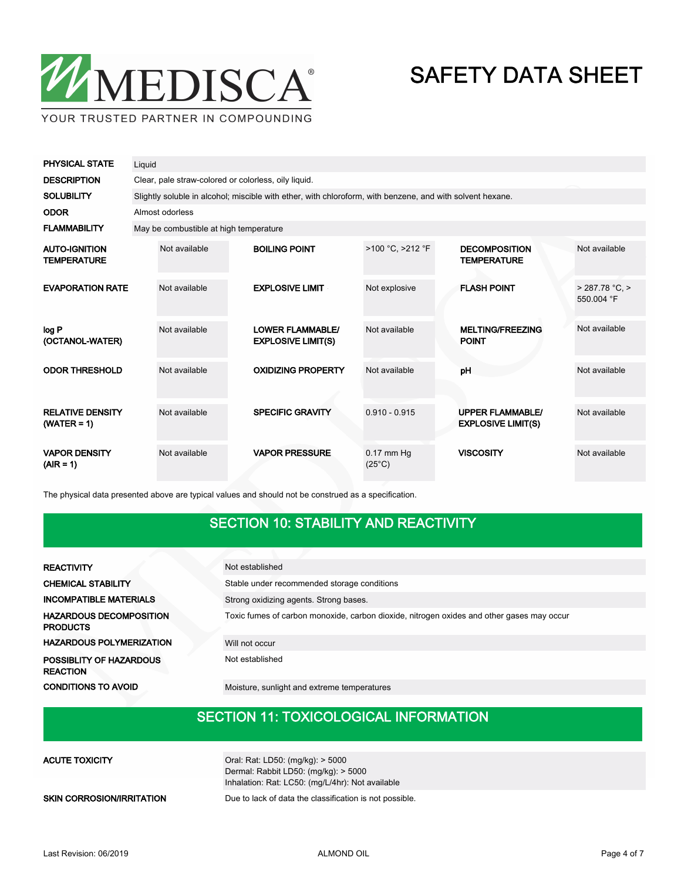

| <b>PHYSICAL STATE</b>                      | Liquid |                                                                                                           |  |                                                      |                                 |                                            |                                                      |                            |  |
|--------------------------------------------|--------|-----------------------------------------------------------------------------------------------------------|--|------------------------------------------------------|---------------------------------|--------------------------------------------|------------------------------------------------------|----------------------------|--|
| <b>DESCRIPTION</b>                         |        | Clear, pale straw-colored or colorless, oily liquid.                                                      |  |                                                      |                                 |                                            |                                                      |                            |  |
| <b>SOLUBILITY</b>                          |        | Slightly soluble in alcohol; miscible with ether, with chloroform, with benzene, and with solvent hexane. |  |                                                      |                                 |                                            |                                                      |                            |  |
| <b>ODOR</b>                                |        | Almost odorless                                                                                           |  |                                                      |                                 |                                            |                                                      |                            |  |
| <b>FLAMMABILITY</b>                        |        | May be combustible at high temperature                                                                    |  |                                                      |                                 |                                            |                                                      |                            |  |
| <b>AUTO-IGNITION</b><br><b>TEMPERATURE</b> |        | Not available                                                                                             |  | <b>BOILING POINT</b>                                 | >100 °C, >212 °F                | <b>DECOMPOSITION</b><br><b>TEMPERATURE</b> |                                                      | Not available              |  |
| <b>EVAPORATION RATE</b>                    |        | Not available                                                                                             |  | <b>EXPLOSIVE LIMIT</b>                               | Not explosive                   |                                            | <b>FLASH POINT</b>                                   | > 287.78 °C.<br>550.004 °F |  |
| log P<br>(OCTANOL-WATER)                   |        | Not available                                                                                             |  | <b>LOWER FLAMMABLE/</b><br><b>EXPLOSIVE LIMIT(S)</b> | Not available                   |                                            | <b>MELTING/FREEZING</b><br><b>POINT</b>              | Not available              |  |
| <b>ODOR THRESHOLD</b>                      |        | Not available                                                                                             |  | <b>OXIDIZING PROPERTY</b>                            | Not available                   |                                            | pH                                                   | Not available              |  |
| <b>RELATIVE DENSITY</b><br>$(WATER = 1)$   |        | Not available                                                                                             |  | <b>SPECIFIC GRAVITY</b>                              | $0.910 - 0.915$                 |                                            | <b>UPPER FLAMMABLE/</b><br><b>EXPLOSIVE LIMIT(S)</b> | Not available              |  |
| <b>VAPOR DENSITY</b><br>$(AIR = 1)$        |        | Not available                                                                                             |  | <b>VAPOR PRESSURE</b>                                | $0.17$ mm Hg<br>$(25^{\circ}C)$ |                                            | <b>VISCOSITY</b>                                     | Not available              |  |

The physical data presented above are typical values and should not be construed as a specification.

## SECTION 10: STABILITY AND REACTIVITY

| <b>REACTIVITY</b>                                 | Not established                                                                           |
|---------------------------------------------------|-------------------------------------------------------------------------------------------|
| <b>CHEMICAL STABILITY</b>                         | Stable under recommended storage conditions                                               |
| <b>INCOMPATIBLE MATERIALS</b>                     | Strong oxidizing agents. Strong bases.                                                    |
| <b>HAZARDOUS DECOMPOSITION</b><br><b>PRODUCTS</b> | Toxic fumes of carbon monoxide, carbon dioxide, nitrogen oxides and other gases may occur |
| <b>HAZARDOUS POLYMERIZATION</b>                   | Will not occur                                                                            |
| POSSIBLITY OF HAZARDOUS<br><b>REACTION</b>        | Not established                                                                           |
| <b>CONDITIONS TO AVOID</b>                        | Moisture, sunlight and extreme temperatures                                               |

## SECTION 11: TOXICOLOGICAL INFORMATION

| <b>ACUTE TOXICITY</b>            | Oral: Rat: LD50: (mg/kg): > 5000<br>Dermal: Rabbit LD50: $(mq/kg)$ : > 5000<br>Inhalation: Rat: LC50: (mg/L/4hr): Not available |
|----------------------------------|---------------------------------------------------------------------------------------------------------------------------------|
| <b>SKIN CORROSION/IRRITATION</b> | Due to lack of data the classification is not possible.                                                                         |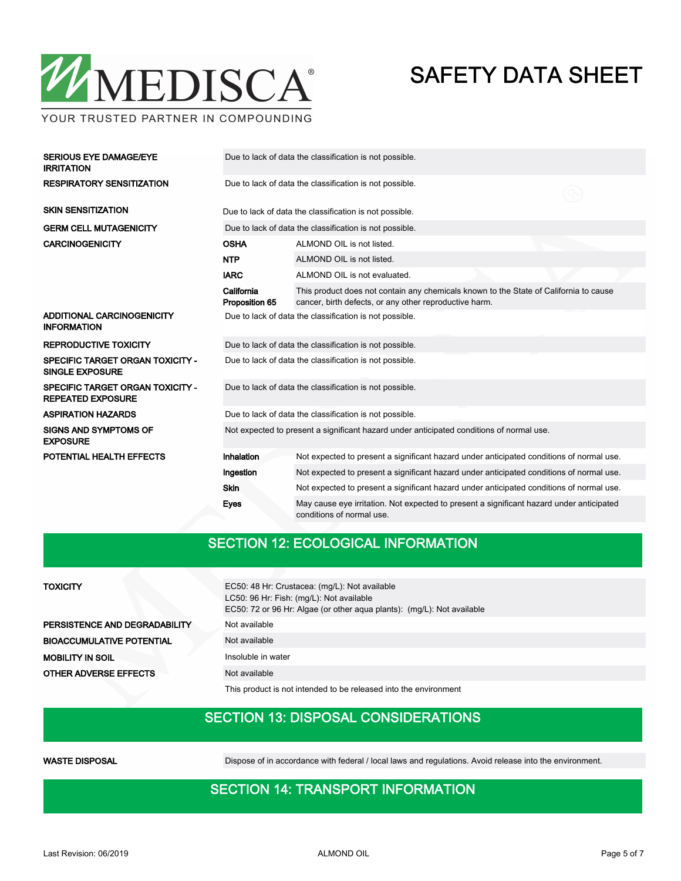

YOUR TRUSTED PARTNER IN COMPOUNDING

| <b>SERIOUS EYE DAMAGE/EYE</b><br><b>IRRITATION</b>                  | Due to lack of data the classification is not possible.                                  |                                                                                                                                                 |  |  |  |  |  |
|---------------------------------------------------------------------|------------------------------------------------------------------------------------------|-------------------------------------------------------------------------------------------------------------------------------------------------|--|--|--|--|--|
| <b>RESPIRATORY SENSITIZATION</b>                                    | Due to lack of data the classification is not possible.                                  |                                                                                                                                                 |  |  |  |  |  |
| <b>SKIN SENSITIZATION</b>                                           |                                                                                          | Due to lack of data the classification is not possible.                                                                                         |  |  |  |  |  |
| <b>GERM CELL MUTAGENICITY</b>                                       | Due to lack of data the classification is not possible.                                  |                                                                                                                                                 |  |  |  |  |  |
| <b>CARCINOGENICITY</b>                                              | <b>OSHA</b>                                                                              | ALMOND OIL is not listed.                                                                                                                       |  |  |  |  |  |
|                                                                     | <b>NTP</b>                                                                               | ALMOND OIL is not listed.                                                                                                                       |  |  |  |  |  |
|                                                                     | <b>IARC</b>                                                                              | ALMOND OIL is not evaluated.                                                                                                                    |  |  |  |  |  |
|                                                                     | California<br>Proposition 65                                                             | This product does not contain any chemicals known to the State of California to cause<br>cancer, birth defects, or any other reproductive harm. |  |  |  |  |  |
| ADDITIONAL CARCINOGENICITY<br><b>INFORMATION</b>                    | Due to lack of data the classification is not possible.                                  |                                                                                                                                                 |  |  |  |  |  |
| <b>REPRODUCTIVE TOXICITY</b>                                        | Due to lack of data the classification is not possible.                                  |                                                                                                                                                 |  |  |  |  |  |
| <b>SPECIFIC TARGET ORGAN TOXICITY -</b><br><b>SINGLE EXPOSURE</b>   | Due to lack of data the classification is not possible.                                  |                                                                                                                                                 |  |  |  |  |  |
| <b>SPECIFIC TARGET ORGAN TOXICITY -</b><br><b>REPEATED EXPOSURE</b> | Due to lack of data the classification is not possible.                                  |                                                                                                                                                 |  |  |  |  |  |
| <b>ASPIRATION HAZARDS</b>                                           | Due to lack of data the classification is not possible.                                  |                                                                                                                                                 |  |  |  |  |  |
| <b>SIGNS AND SYMPTOMS OF</b><br><b>EXPOSURE</b>                     | Not expected to present a significant hazard under anticipated conditions of normal use. |                                                                                                                                                 |  |  |  |  |  |
| POTENTIAL HEALTH EFFECTS                                            | Inhalation                                                                               | Not expected to present a significant hazard under anticipated conditions of normal use.                                                        |  |  |  |  |  |
|                                                                     | Ingestion                                                                                | Not expected to present a significant hazard under anticipated conditions of normal use.                                                        |  |  |  |  |  |
|                                                                     | Skin                                                                                     | Not expected to present a significant hazard under anticipated conditions of normal use.                                                        |  |  |  |  |  |
|                                                                     | Eyes                                                                                     | May cause eye irritation. Not expected to present a significant hazard under anticipated<br>conditions of normal use.                           |  |  |  |  |  |

### SECTION 12: ECOLOGICAL INFORMATION

#### **TOXICITY**

PERSISTENCE AND DEGRADABILITY Not available BIOACCUMULATIVE POTENTIAL Not available **MOBILITY IN SOIL** Insoluble in water **OTHER ADVERSE EFFECTS** Not available

EC50: 48 Hr: Crustacea: (mg/L): Not available LC50: 96 Hr: Fish: (mg/L): Not available EC50: 72 or 96 Hr: Algae (or other aqua plants): (mg/L): Not available

This product is not intended to be released into the environment

#### SECTION 13: DISPOSAL CONSIDERATIONS

WASTE DISPOSAL **Dispose of in accordance with federal / local laws and regulations**. Avoid release into the environment.

### SECTION 14: TRANSPORT INFORMATION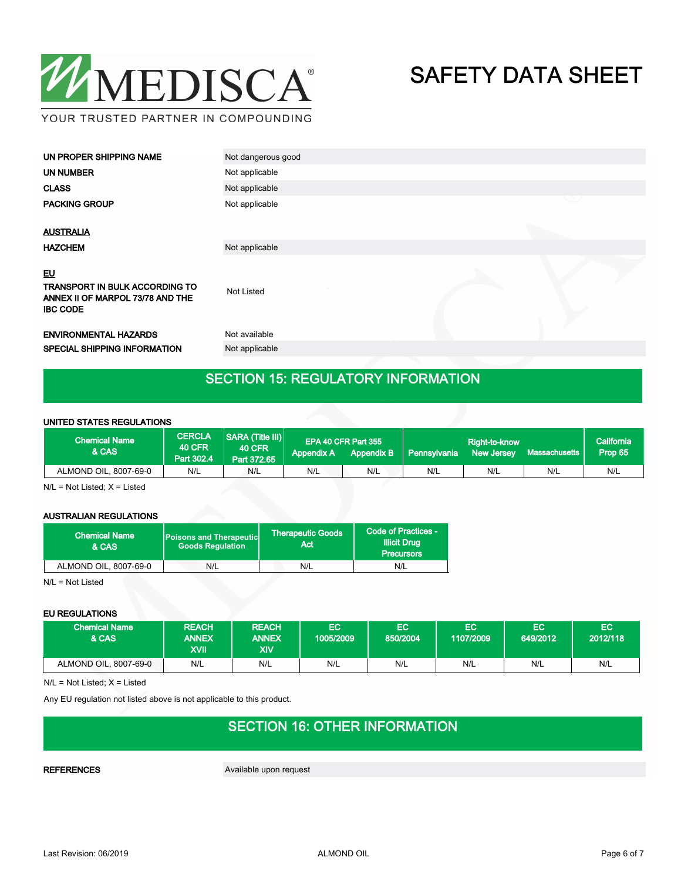

| UN PROPER SHIPPING NAME                                                                                   | Not dangerous good |   |
|-----------------------------------------------------------------------------------------------------------|--------------------|---|
| <b>UN NUMBER</b>                                                                                          | Not applicable     |   |
| <b>CLASS</b>                                                                                              | Not applicable     |   |
| <b>PACKING GROUP</b>                                                                                      | Not applicable     | ◡ |
| <b>AUSTRALIA</b>                                                                                          |                    |   |
| <b>HAZCHEM</b>                                                                                            | Not applicable     |   |
| <u>EU</u><br><b>TRANSPORT IN BULK ACCORDING TO</b><br>ANNEX II OF MARPOL 73/78 AND THE<br><b>IBC CODE</b> | Not Listed         |   |
| <b>ENVIRONMENTAL HAZARDS</b>                                                                              | Not available      |   |
| SPECIAL SHIPPING INFORMATION                                                                              | Not applicable     |   |
|                                                                                                           |                    |   |

## SECTION 15: REGULATORY INFORMATION

#### UNITED STATES REGULATIONS

| <b>Chemical Name</b><br>& CAS | <b>CERCLA</b><br><b>40 CFR</b><br>Part 302.4 | <b>SARA (Title III)</b><br><b>40 CFR</b><br>Part 372.65 | <b>Appendix A</b> | EPA 40 CFR Part 355<br><b>Appendix B</b> | Pennsylvania | Right-to-know<br><b>New Jersey</b> | Massachusetts | lCalifornia <sup>1</sup><br>Prop 65 |
|-------------------------------|----------------------------------------------|---------------------------------------------------------|-------------------|------------------------------------------|--------------|------------------------------------|---------------|-------------------------------------|
| ALMOND OIL, 8007-69-0         | N/L                                          | N/L                                                     | N/L               | N/L                                      | N/L          | N/L                                | N/L           | N/L                                 |

N/L = Not Listed; X = Listed

#### AUSTRALIAN REGULATIONS

| <b>Chemical Name</b><br>& CAS | <b>Poisons and Therapeutic</b><br><b>Goods Regulation</b> | <b>Therapeutic Goods</b><br>Act | Code of Practices -<br><b>Illicit Drug</b><br><b>Precursors</b> |  |
|-------------------------------|-----------------------------------------------------------|---------------------------------|-----------------------------------------------------------------|--|
| ALMOND OIL, 8007-69-0         | N/L                                                       | N/L                             | N/L                                                             |  |

N/L = Not Listed

#### EU REGULATIONS

| <b>Chemical Name</b><br>& CAS | <b>REACH</b><br><b>ANNEX</b><br><b>IIVX</b> | <b>REACH</b><br><b>ANNEX</b><br>XIV | EC<br>1005/2009 | EС<br>850/2004 | ЕC<br>1107/2009 | EC<br>649/2012 | EC<br>2012/118 |
|-------------------------------|---------------------------------------------|-------------------------------------|-----------------|----------------|-----------------|----------------|----------------|
| ALMOND OIL, 8007-69-0         | N/L                                         | N/L                                 | N/L             | N/L            | N/L             | N/L            | N/L            |

N/L = Not Listed; X = Listed

Any EU regulation not listed above is not applicable to this product.

## SECTION 16: OTHER INFORMATION

REFERENCES Available upon request